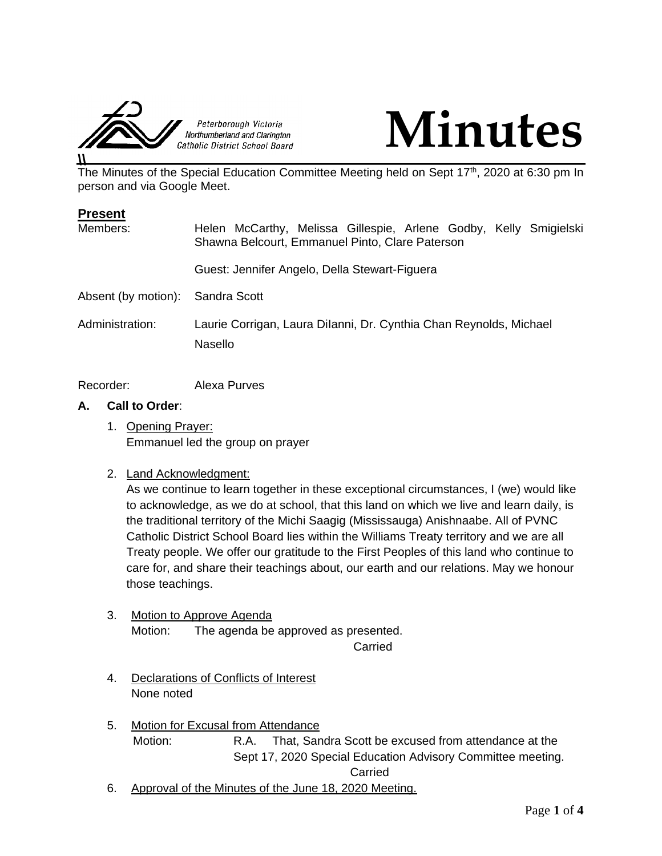



The Minutes of the Special Education Committee Meeting held on Sept 17<sup>th</sup>, 2020 at 6:30 pm In person and via Google Meet.

| <b>Present</b>                   |                                                                                                                      |
|----------------------------------|----------------------------------------------------------------------------------------------------------------------|
| Members:                         | Helen McCarthy, Melissa Gillespie, Arlene Godby, Kelly Smigielski<br>Shawna Belcourt, Emmanuel Pinto, Clare Paterson |
|                                  | Guest: Jennifer Angelo, Della Stewart-Figuera                                                                        |
| Absent (by motion): Sandra Scott |                                                                                                                      |
| Administration:                  | Laurie Corrigan, Laura Dilanni, Dr. Cynthia Chan Reynolds, Michael<br><b>Nasello</b>                                 |

Recorder: Alexa Purves

## **A. Call to Order**:

1. Opening Prayer: Emmanuel led the group on prayer

# 2. Land Acknowledgment:

As we continue to learn together in these exceptional circumstances, I (we) would like to acknowledge, as we do at school, that this land on which we live and learn daily, is the traditional territory of the Michi Saagig (Mississauga) Anishnaabe. All of PVNC Catholic District School Board lies within the Williams Treaty territory and we are all Treaty people. We offer our gratitude to the First Peoples of this land who continue to care for, and share their teachings about, our earth and our relations. May we honour those teachings.

3. Motion to Approve Agenda Motion: The agenda be approved as presented.

Carried

- 4. Declarations of Conflicts of Interest None noted
- 5. Motion for Excusal from Attendance Motion: R.A. That, Sandra Scott be excused from attendance at the Sept 17, 2020 Special Education Advisory Committee meeting. Carried
- 6. Approval of the Minutes of the June 18, 2020 Meeting.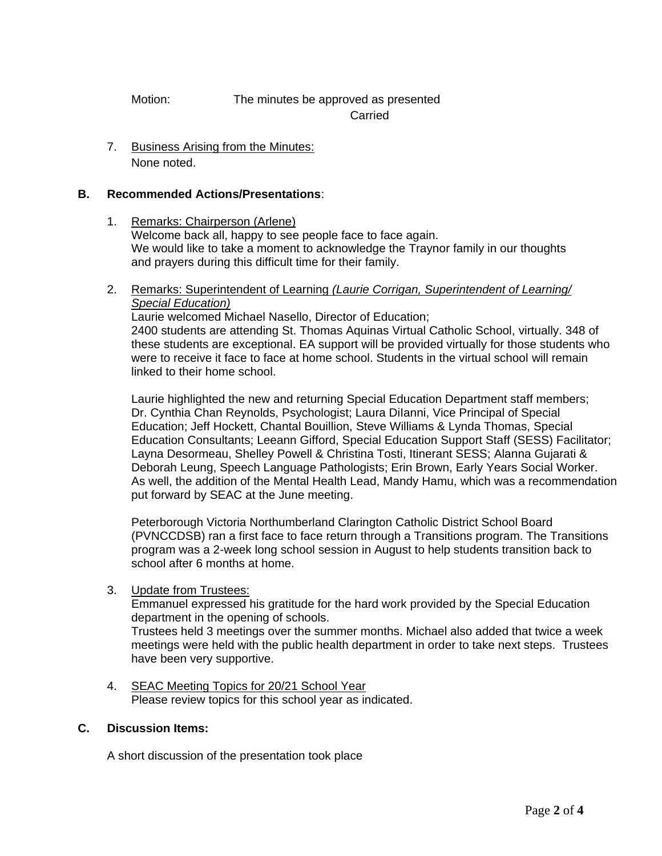# Motion: The minutes be approved as presented Carried

7. Business Arising from the Minutes: None noted.

# **B. Recommended Actions/Presentations**:

- 1. Remarks: Chairperson (Arlene) Welcome back all, happy to see people face to face again. We would like to take a moment to acknowledge the Traynor family in our thoughts and prayers during this difficult time for their family.
- 2. Remarks: Superintendent of Learning *(Laurie Corrigan, Superintendent of Learning/ Special Education)*

Laurie welcomed Michael Nasello, Director of Education; 2400 students are attending St. Thomas Aquinas Virtual Catholic School, virtually. 348 of these students are exceptional. EA support will be provided virtually for those students who were to receive it face to face at home school. Students in the virtual school will remain linked to their home school.

Laurie highlighted the new and returning Special Education Department staff members; Dr. Cynthia Chan Reynolds, Psychologist; Laura DiIanni, Vice Principal of Special Education; Jeff Hockett, Chantal Bouillion, Steve Williams & Lynda Thomas, Special Education Consultants; Leeann Gifford, Special Education Support Staff (SESS) Facilitator; Layna Desormeau, Shelley Powell & Christina Tosti, Itinerant SESS; Alanna Gujarati & Deborah Leung, Speech Language Pathologists; Erin Brown, Early Years Social Worker. As well, the addition of the Mental Health Lead, Mandy Hamu, which was a recommendation put forward by SEAC at the June meeting.

Peterborough Victoria Northumberland Clarington Catholic District School Board (PVNCCDSB) ran a first face to face return through a Transitions program. The Transitions program was a 2-week long school session in August to help students transition back to school after 6 months at home.

# 3. Update from Trustees:

Emmanuel expressed his gratitude for the hard work provided by the Special Education department in the opening of schools.

Trustees held 3 meetings over the summer months. Michael also added that twice a week meetings were held with the public health department in order to take next steps. Trustees have been very supportive.

4. SEAC Meeting Topics for 20/21 School Year Please review topics for this school year as indicated.

# **C. Discussion Items:**

A short discussion of the presentation took place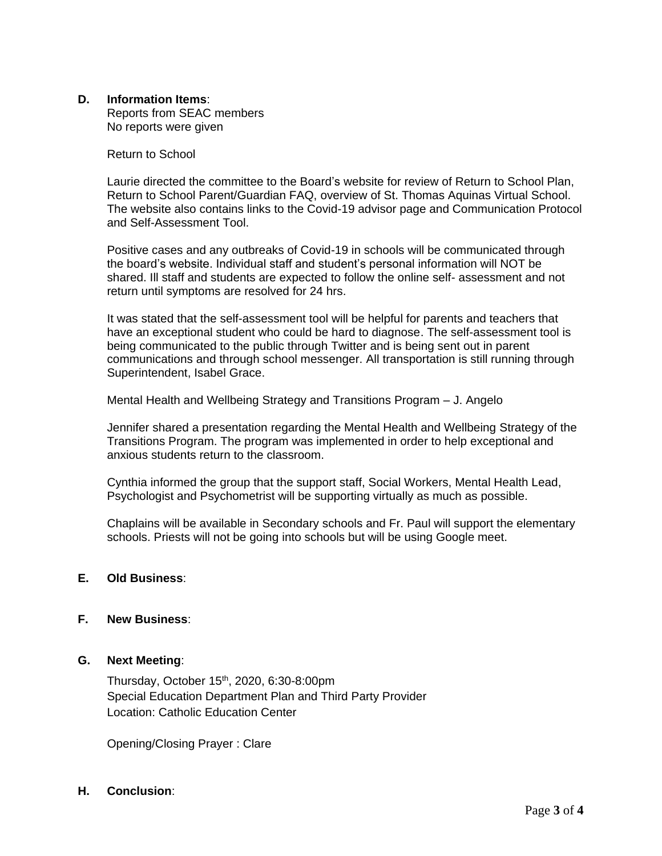## **D. Information Items**:

Reports from SEAC members No reports were given

#### Return to School

Laurie directed the committee to the Board's website for review of Return to School Plan, Return to School Parent/Guardian FAQ, overview of St. Thomas Aquinas Virtual School. The website also contains links to the Covid-19 advisor page and Communication Protocol and Self-Assessment Tool.

Positive cases and any outbreaks of Covid-19 in schools will be communicated through the board's website. Individual staff and student's personal information will NOT be shared. Ill staff and students are expected to follow the online self- assessment and not return until symptoms are resolved for 24 hrs.

It was stated that the self-assessment tool will be helpful for parents and teachers that have an exceptional student who could be hard to diagnose. The self-assessment tool is being communicated to the public through Twitter and is being sent out in parent communications and through school messenger. All transportation is still running through Superintendent, Isabel Grace.

Mental Health and Wellbeing Strategy and Transitions Program – J. Angelo

Jennifer shared a presentation regarding the Mental Health and Wellbeing Strategy of the Transitions Program. The program was implemented in order to help exceptional and anxious students return to the classroom.

Cynthia informed the group that the support staff, Social Workers, Mental Health Lead, Psychologist and Psychometrist will be supporting virtually as much as possible.

Chaplains will be available in Secondary schools and Fr. Paul will support the elementary schools. Priests will not be going into schools but will be using Google meet.

#### **E. Old Business**:

### **F. New Business**:

#### **G. Next Meeting**:

Thursday, October 15th, 2020, 6:30-8:00pm Special Education Department Plan and Third Party Provider Location: Catholic Education Center

Opening/Closing Prayer : Clare

# **H. Conclusion**: